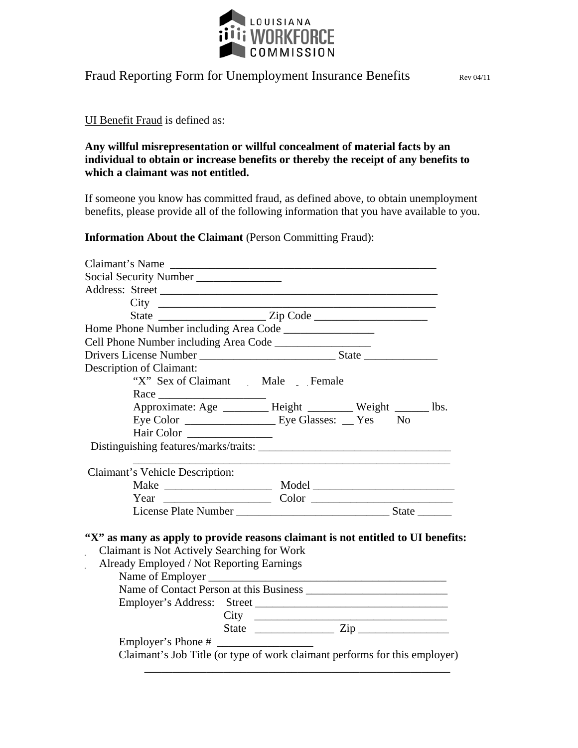

## Fraud Reporting Form for Unemployment Insurance Benefits Rev 04/11

## UI Benefit Fraud is defined as:

## **Any willful misrepresentation or willful concealment of material facts by an individual to obtain or increase benefits or thereby the receipt of any benefits to which a claimant was not entitled.**

If someone you know has committed fraud, as defined above, to obtain unemployment benefits, please provide all of the following information that you have available to you.

## **Information About the Claimant** (Person Committing Fraud):

| Claimant's Name                                                                  |                                                            |                                                                            |
|----------------------------------------------------------------------------------|------------------------------------------------------------|----------------------------------------------------------------------------|
| Social Security Number _______________                                           |                                                            |                                                                            |
|                                                                                  |                                                            |                                                                            |
|                                                                                  |                                                            |                                                                            |
|                                                                                  |                                                            |                                                                            |
|                                                                                  |                                                            |                                                                            |
|                                                                                  |                                                            |                                                                            |
|                                                                                  |                                                            |                                                                            |
| Description of Claimant:                                                         |                                                            |                                                                            |
|                                                                                  | "X" Sex of Claimant Male Female                            |                                                                            |
|                                                                                  |                                                            |                                                                            |
|                                                                                  | Approximate: Age ________ Height _______ Weight _____ lbs. |                                                                            |
|                                                                                  |                                                            |                                                                            |
| Hair Color                                                                       |                                                            |                                                                            |
|                                                                                  |                                                            |                                                                            |
|                                                                                  |                                                            |                                                                            |
| Claimant's Vehicle Description:                                                  |                                                            |                                                                            |
|                                                                                  |                                                            |                                                                            |
|                                                                                  |                                                            |                                                                            |
|                                                                                  |                                                            |                                                                            |
|                                                                                  |                                                            |                                                                            |
| "X" as many as apply to provide reasons claimant is not entitled to UI benefits: |                                                            |                                                                            |
| Claimant is Not Actively Searching for Work                                      |                                                            |                                                                            |
| Already Employed / Not Reporting Earnings                                        |                                                            |                                                                            |
|                                                                                  | Name of Employer                                           |                                                                            |
|                                                                                  |                                                            |                                                                            |
|                                                                                  |                                                            |                                                                            |
|                                                                                  |                                                            |                                                                            |
|                                                                                  |                                                            |                                                                            |
|                                                                                  |                                                            |                                                                            |
|                                                                                  |                                                            | Claimant's Job Title (or type of work claimant performs for this employer) |
|                                                                                  |                                                            |                                                                            |